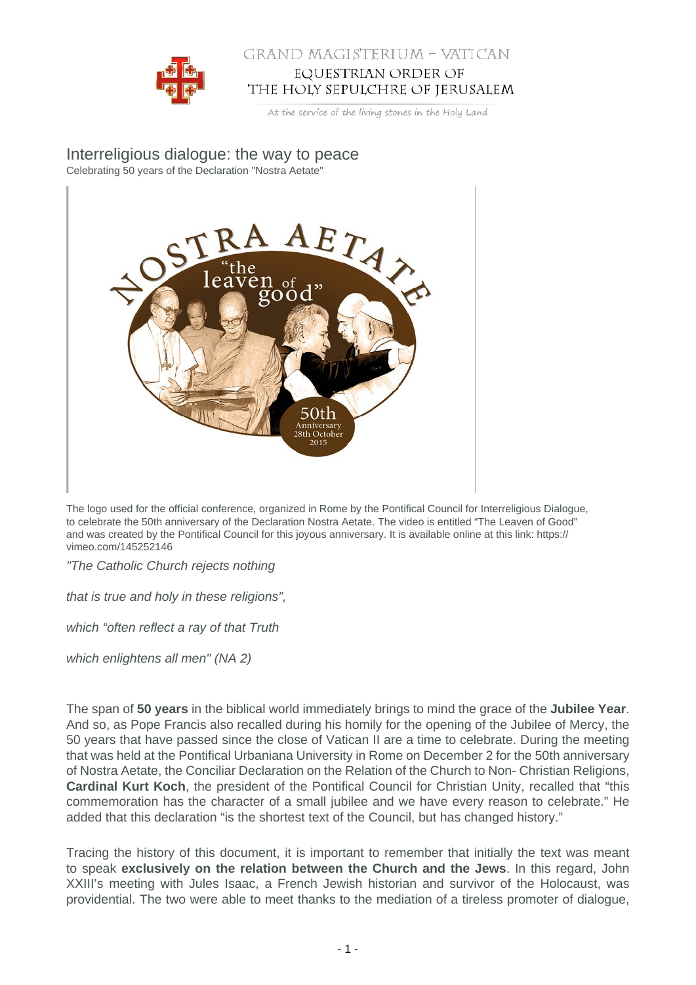

## GRAND MAGISTERIUM - VATICAN EQUESTRIAN ORDER OF THE HOLY SEPULCHRE OF JERUSALEM

At the service of the living stones in the Holy Land

Interreligious dialogue: the way to peace Celebrating 50 years of the Declaration "Nostra Aetate"



The logo used for the official conference, organized in Rome by the Pontifical Council for Interreligious Dialogue, to celebrate the 50th anniversary of the Declaration Nostra Aetate. The video is entitled "The Leaven of Good" and was created by the Pontifical Council for this joyous anniversary. It is available online at this link: https:// vimeo.com/145252146

"The Catholic Church rejects nothing

that is true and holy in these religions",

which "often reflect a ray of that Truth

which enlightens all men" (NA 2)

The span of **50 years** in the biblical world immediately brings to mind the grace of the **Jubilee Year**. And so, as Pope Francis also recalled during his homily for the opening of the Jubilee of Mercy, the 50 years that have passed since the close of Vatican II are a time to celebrate. During the meeting that was held at the Pontifical Urbaniana University in Rome on December 2 for the 50th anniversary of Nostra Aetate, the Conciliar Declaration on the Relation of the Church to Non- Christian Religions, **Cardinal Kurt Koch**, the president of the Pontifical Council for Christian Unity, recalled that "this commemoration has the character of a small jubilee and we have every reason to celebrate." He added that this declaration "is the shortest text of the Council, but has changed history."

Tracing the history of this document, it is important to remember that initially the text was meant to speak **exclusively on the relation between the Church and the Jews**. In this regard, John XXIII's meeting with Jules Isaac, a French Jewish historian and survivor of the Holocaust, was providential. The two were able to meet thanks to the mediation of a tireless promoter of dialogue,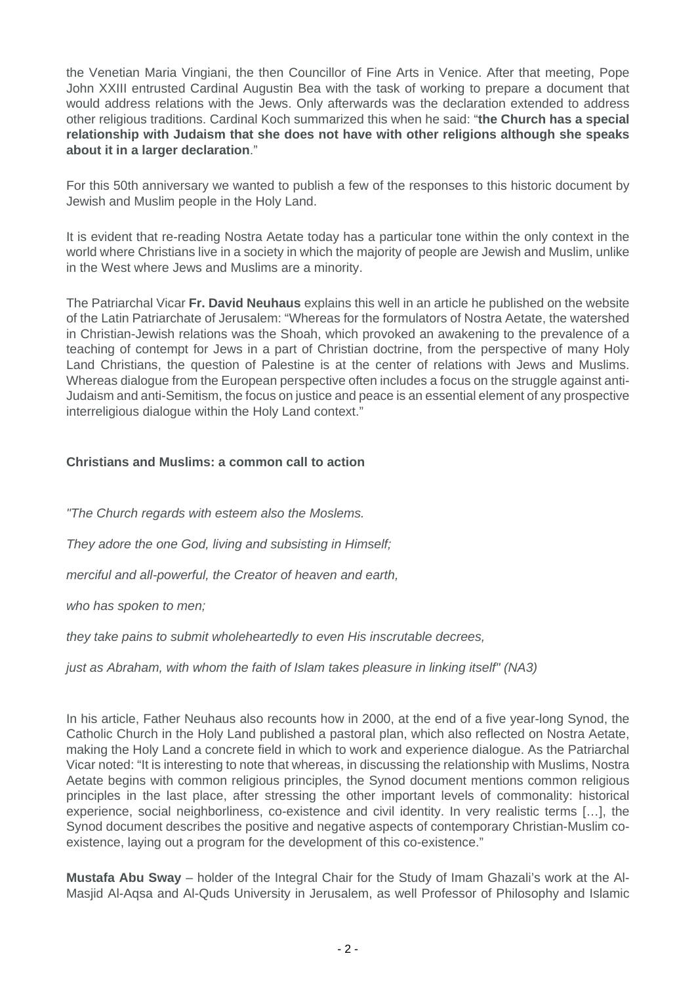the Venetian Maria Vingiani, the then Councillor of Fine Arts in Venice. After that meeting, Pope John XXIII entrusted Cardinal Augustin Bea with the task of working to prepare a document that would address relations with the Jews. Only afterwards was the declaration extended to address other religious traditions. Cardinal Koch summarized this when he said: "**the Church has a special relationship with Judaism that she does not have with other religions although she speaks about it in a larger declaration**."

For this 50th anniversary we wanted to publish a few of the responses to this historic document by Jewish and Muslim people in the Holy Land.

It is evident that re-reading Nostra Aetate today has a particular tone within the only context in the world where Christians live in a society in which the majority of people are Jewish and Muslim, unlike in the West where Jews and Muslims are a minority.

The Patriarchal Vicar **Fr. David Neuhaus** explains this well in an article he published on the website of the Latin Patriarchate of Jerusalem: "Whereas for the formulators of Nostra Aetate, the watershed in Christian-Jewish relations was the Shoah, which provoked an awakening to the prevalence of a teaching of contempt for Jews in a part of Christian doctrine, from the perspective of many Holy Land Christians, the question of Palestine is at the center of relations with Jews and Muslims. Whereas dialogue from the European perspective often includes a focus on the struggle against anti-Judaism and anti-Semitism, the focus on justice and peace is an essential element of any prospective interreligious dialogue within the Holy Land context."

## **Christians and Muslims: a common call to action**

"The Church regards with esteem also the Moslems. They adore the one God, living and subsisting in Himself; merciful and all-powerful, the Creator of heaven and earth, who has spoken to men;

they take pains to submit wholeheartedly to even His inscrutable decrees,

just as Abraham, with whom the faith of Islam takes pleasure in linking itself" (NA3)

In his article, Father Neuhaus also recounts how in 2000, at the end of a five year-long Synod, the Catholic Church in the Holy Land published a pastoral plan, which also reflected on Nostra Aetate, making the Holy Land a concrete field in which to work and experience dialogue. As the Patriarchal Vicar noted: "It is interesting to note that whereas, in discussing the relationship with Muslims, Nostra Aetate begins with common religious principles, the Synod document mentions common religious principles in the last place, after stressing the other important levels of commonality: historical experience, social neighborliness, co-existence and civil identity. In very realistic terms […], the Synod document describes the positive and negative aspects of contemporary Christian-Muslim coexistence, laying out a program for the development of this co-existence."

**Mustafa Abu Sway** – holder of the Integral Chair for the Study of Imam Ghazali's work at the Al-Masjid Al-Aqsa and Al-Quds University in Jerusalem, as well Professor of Philosophy and Islamic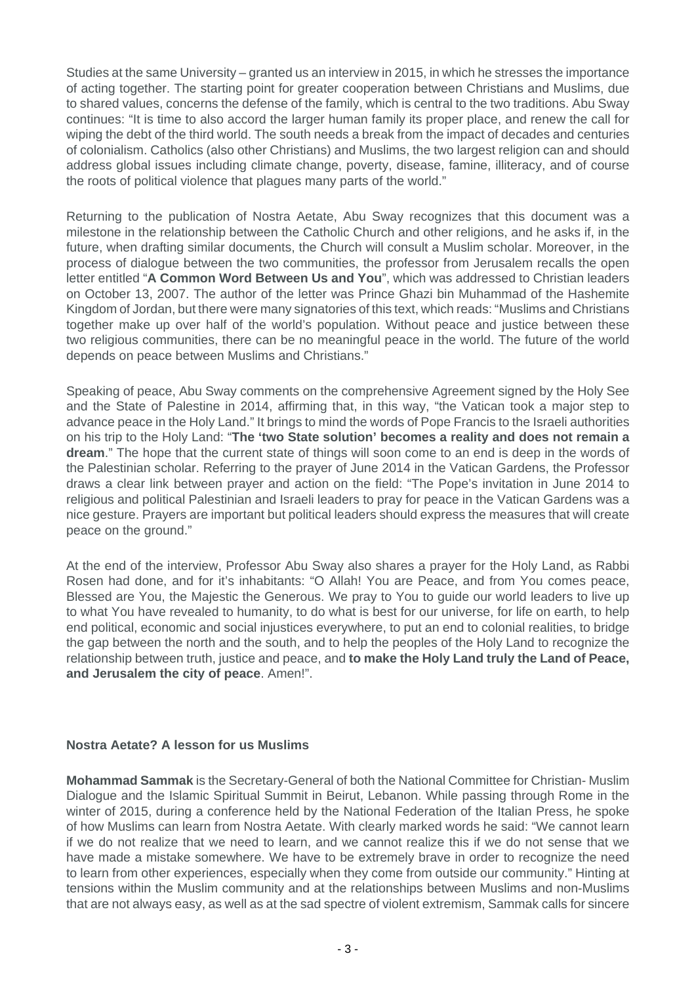Studies at the same University – granted us an interview in 2015, in which he stresses the importance of acting together. The starting point for greater cooperation between Christians and Muslims, due to shared values, concerns the defense of the family, which is central to the two traditions. Abu Sway continues: "It is time to also accord the larger human family its proper place, and renew the call for wiping the debt of the third world. The south needs a break from the impact of decades and centuries of colonialism. Catholics (also other Christians) and Muslims, the two largest religion can and should address global issues including climate change, poverty, disease, famine, illiteracy, and of course the roots of political violence that plagues many parts of the world."

Returning to the publication of Nostra Aetate, Abu Sway recognizes that this document was a milestone in the relationship between the Catholic Church and other religions, and he asks if, in the future, when drafting similar documents, the Church will consult a Muslim scholar. Moreover, in the process of dialogue between the two communities, the professor from Jerusalem recalls the open letter entitled "**A Common Word Between Us and You**", which was addressed to Christian leaders on October 13, 2007. The author of the letter was Prince Ghazi bin Muhammad of the Hashemite Kingdom of Jordan, but there were many signatories of this text, which reads: "Muslims and Christians together make up over half of the world's population. Without peace and justice between these two religious communities, there can be no meaningful peace in the world. The future of the world depends on peace between Muslims and Christians."

Speaking of peace, Abu Sway comments on the comprehensive Agreement signed by the Holy See and the State of Palestine in 2014, affirming that, in this way, "the Vatican took a major step to advance peace in the Holy Land." It brings to mind the words of Pope Francis to the Israeli authorities on his trip to the Holy Land: "**The 'two State solution' becomes a reality and does not remain a dream**." The hope that the current state of things will soon come to an end is deep in the words of the Palestinian scholar. Referring to the prayer of June 2014 in the Vatican Gardens, the Professor draws a clear link between prayer and action on the field: "The Pope's invitation in June 2014 to religious and political Palestinian and Israeli leaders to pray for peace in the Vatican Gardens was a nice gesture. Prayers are important but political leaders should express the measures that will create peace on the ground."

At the end of the interview, Professor Abu Sway also shares a prayer for the Holy Land, as Rabbi Rosen had done, and for it's inhabitants: "O Allah! You are Peace, and from You comes peace, Blessed are You, the Majestic the Generous. We pray to You to guide our world leaders to live up to what You have revealed to humanity, to do what is best for our universe, for life on earth, to help end political, economic and social injustices everywhere, to put an end to colonial realities, to bridge the gap between the north and the south, and to help the peoples of the Holy Land to recognize the relationship between truth, justice and peace, and **to make the Holy Land truly the Land of Peace, and Jerusalem the city of peace**. Amen!".

## **Nostra Aetate? A lesson for us Muslims**

**Mohammad Sammak** is the Secretary-General of both the National Committee for Christian- Muslim Dialogue and the Islamic Spiritual Summit in Beirut, Lebanon. While passing through Rome in the winter of 2015, during a conference held by the National Federation of the Italian Press, he spoke of how Muslims can learn from Nostra Aetate. With clearly marked words he said: "We cannot learn if we do not realize that we need to learn, and we cannot realize this if we do not sense that we have made a mistake somewhere. We have to be extremely brave in order to recognize the need to learn from other experiences, especially when they come from outside our community." Hinting at tensions within the Muslim community and at the relationships between Muslims and non-Muslims that are not always easy, as well as at the sad spectre of violent extremism, Sammak calls for sincere